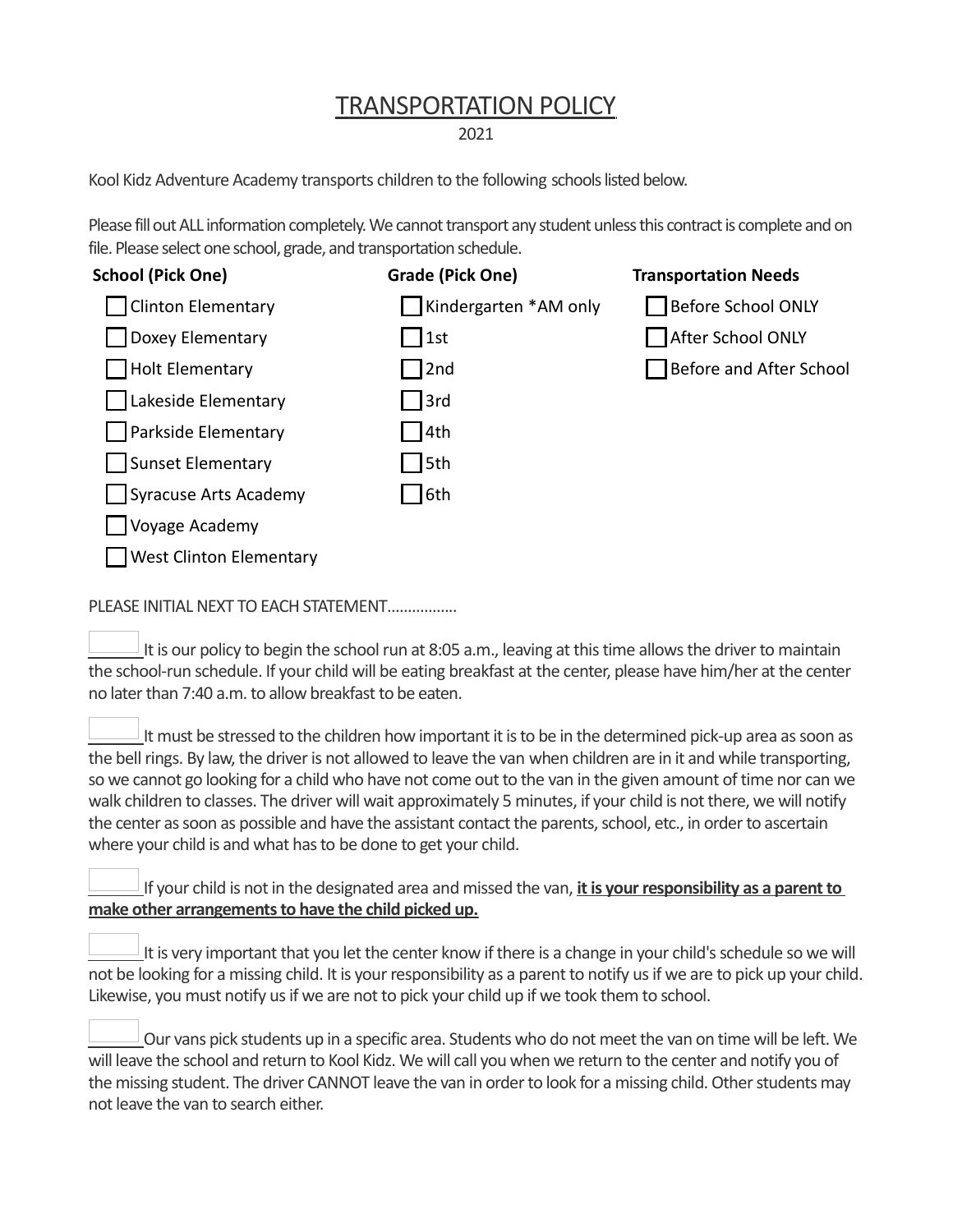## TRANSPORTATION POLICY

2021

Kool Kidz Adventure Academy transports children to the following schools listed below.

Please fill out ALL information completely. We cannot transport any student unless this contract is complete and on file. Please select one school, grade, and transportation schedule.

| <b>School (Pick One)</b>       | Grade (Pick One)      | <b>Transportation Needs</b> |
|--------------------------------|-----------------------|-----------------------------|
| Clinton Elementary             | Kindergarten *AM only | Before School ONLY          |
| Doxey Elementary               | 1st                   | After School ONLY           |
| Holt Elementary                | 2nd                   | Before and After School     |
| Lakeside Elementary            | 3rd                   |                             |
| <b>Parkside Elementary</b>     | 4th                   |                             |
| Sunset Elementary              | 5th                   |                             |
| Syracuse Arts Academy          | 6th                   |                             |
| Voyage Academy                 |                       |                             |
| <b>West Clinton Elementary</b> |                       |                             |
|                                |                       |                             |

PLEASE INITIAL NEXT TO EACH STATEMENT……………..

 It is our policy to begin the school run at 8:05 a.m., leaving at this time allows the driver to maintain the school-run schedule. If your child will be eating breakfast at the center, please have him/her at the center no later than 7:40 a.m. to allow breakfast to be eaten.

 It must be stressed to the children how important it is to be in the determined pick-up area as soon as the bell rings. By law, the driver is not allowed to leave the van when children are in it and while transporting, so we cannot go looking for a child who have not come out to the van in the given amount of time nor can we walk children to classes. The driver will wait approximately 5 minutes, if your child is not there, we will notify the center as soon as possible and have the assistant contact the parents, school, etc., in order to ascertain where your child is and what has to be done to get your child.

 If your child is not in the designated area and missed the van, **it is your responsibility as a parent to make other arrangements to have the child picked up.** 

 It is very important that you let the center know if there is a change in your child's schedule so we will not be looking for a missing child. It is your responsibility as a parent to notify us if we are to pick up your child. Likewise, you must notify us if we are not to pick your child up if we took them to school.

 Our vans pick students up in a specific area. Students who do not meet the van on time will be left. We will leave the school and return to Kool Kidz. We will call you when we return to the center and notify you of the missing student. The driver CANNOT leave the van in order to look for a missing child. Other students may not leave the van to search either.